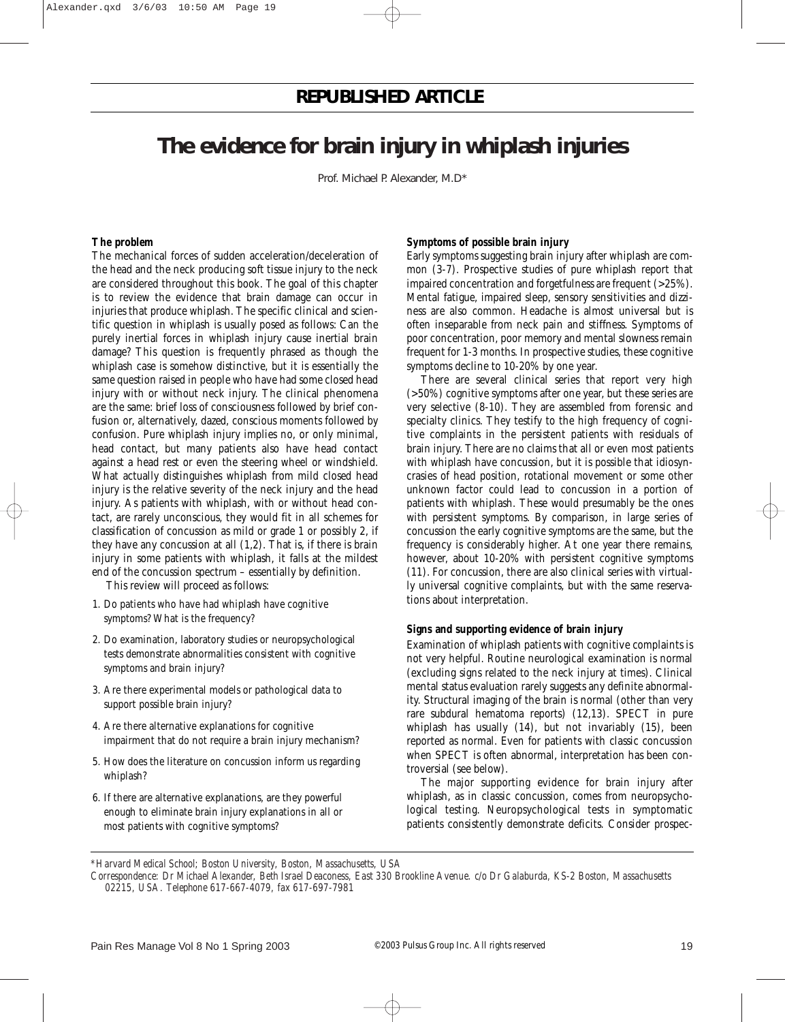# **The evidence for brain injury in whiplash injuries**

Prof. Michael P. Alexander, M.D\*

## **The problem**

The mechanical forces of sudden acceleration/deceleration of the head and the neck producing soft tissue injury to the neck are considered throughout this book. The goal of this chapter is to review the evidence that brain damage can occur in injuries that produce whiplash. The specific clinical and scientific question in whiplash is usually posed as follows: Can the purely inertial forces in whiplash injury cause inertial brain damage? This question is frequently phrased as though the whiplash case is somehow distinctive, but it is essentially the same question raised in people who have had some closed head injury with or without neck injury. The clinical phenomena are the same: brief loss of consciousness followed by brief confusion or, alternatively, dazed, conscious moments followed by confusion. Pure whiplash injury implies no, or only minimal, head contact, but many patients also have head contact against a head rest or even the steering wheel or windshield. What actually distinguishes whiplash from mild closed head injury is the relative severity of the neck injury and the head injury. As patients with whiplash, with or without head contact, are rarely unconscious, they would fit in all schemes for classification of concussion as mild or grade 1 or possibly 2, if they have any concussion at all (1,2). That is, if there is brain injury in some patients with whiplash, it falls at the mildest end of the concussion spectrum – essentially by definition.

This review will proceed as follows:

- 1. Do patients who have had whiplash have cognitive symptoms? What is the frequency?
- 2. Do examination, laboratory studies or neuropsychological tests demonstrate abnormalities consistent with cognitive symptoms and brain injury?
- 3. Are there experimental models or pathological data to support possible brain injury?
- 4. Are there alternative explanations for cognitive impairment that do not require a brain injury mechanism?
- 5. How does the literature on concussion inform us regarding whiplash?
- 6. If there are alternative explanations, are they powerful enough to eliminate brain injury explanations in all or most patients with cognitive symptoms?

#### **Symptoms of possible brain injury**

Early symptoms suggesting brain injury after whiplash are common (3-7). Prospective studies of pure whiplash report that impaired concentration and forgetfulness are frequent (>25%). Mental fatigue, impaired sleep, sensory sensitivities and dizziness are also common. Headache is almost universal but is often inseparable from neck pain and stiffness. Symptoms of poor concentration, poor memory and mental slowness remain frequent for 1-3 months. In prospective studies, these cognitive symptoms decline to 10-20% by one year.

There are several clinical series that report very high (>50%) cognitive symptoms after one year, but these series are very selective (8-10). They are assembled from forensic and specialty clinics. They testify to the high frequency of cognitive complaints in the persistent patients with residuals of brain injury. There are no claims that all or even most patients with whiplash have concussion, but it is possible that idiosyncrasies of head position, rotational movement or some other unknown factor could lead to concussion in a portion of patients with whiplash. These would presumably be the ones with persistent symptoms. By comparison, in large series of concussion the early cognitive symptoms are the same, but the frequency is considerably higher. At one year there remains, however, about 10-20% with persistent cognitive symptoms (11). For concussion, there are also clinical series with virtually universal cognitive complaints, but with the same reservations about interpretation.

## **Signs and supporting evidence of brain injury**

Examination of whiplash patients with cognitive complaints is not very helpful. Routine neurological examination is normal (excluding signs related to the neck injury at times). Clinical mental status evaluation rarely suggests any definite abnormality. Structural imaging of the brain is normal (other than very rare subdural hematoma reports) (12,13). SPECT in pure whiplash has usually (14), but not invariably (15), been reported as normal. Even for patients with classic concussion when SPECT is often abnormal, interpretation has been controversial (see below).

The major supporting evidence for brain injury after whiplash, as in classic concussion, comes from neuropsychological testing. Neuropsychological tests in symptomatic patients consistently demonstrate deficits. Consider prospec-

*<sup>\*</sup>Harvard Medical School; Boston University, Boston, Massachusetts, USA*

*Correspondence: Dr Michael Alexander, Beth Israel Deaconess, East 330 Brookline Avenue. c/o Dr Galaburda, KS-2 Boston, Massachusetts 02215, USA. Telephone 617-667-4079, fax 617-697-7981*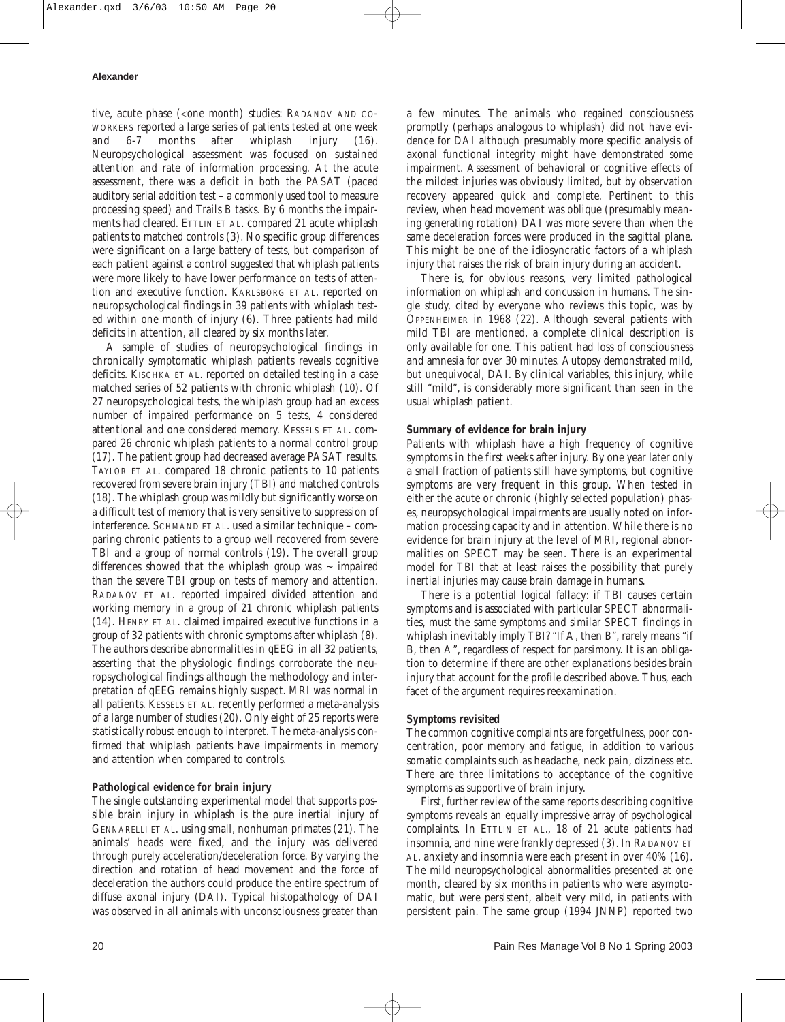tive, acute phase (<one month) studies: RADANOV AND CO-WORKERS reported a large series of patients tested at one week and 6-7 months after whiplash injury (16). Neuropsychological assessment was focused on sustained attention and rate of information processing. At the acute assessment, there was a deficit in both the PASAT (paced auditory serial addition test – a commonly used tool to measure processing speed) and Trails B tasks. By 6 months the impairments had cleared. ETTLIN ET AL. compared 21 acute whiplash patients to matched controls (3). No specific group differences were significant on a large battery of tests, but comparison of each patient against a control suggested that whiplash patients were more likely to have lower performance on tests of attention and executive function. KARLSBORG ET AL. reported on neuropsychological findings in 39 patients with whiplash tested within one month of injury (6). Three patients had mild deficits in attention, all cleared by six months later.

A sample of studies of neuropsychological findings in chronically symptomatic whiplash patients reveals cognitive deficits. KISCHKA ET AL. reported on detailed testing in a case matched series of 52 patients with chronic whiplash (10). Of 27 neuropsychological tests, the whiplash group had an excess number of impaired performance on 5 tests, 4 considered attentional and one considered memory. KESSELS ET AL. compared 26 chronic whiplash patients to a normal control group (17). The patient group had decreased average PASAT results. TAYLOR ET AL. compared 18 chronic patients to 10 patients recovered from severe brain injury (TBI) and matched controls (18). The whiplash group was mildly but significantly worse on a difficult test of memory that is very sensitive to suppression of interference. SCHMAND ET AL. used a similar technique – comparing chronic patients to a group well recovered from severe TBI and a group of normal controls (19). The overall group differences showed that the whiplash group was  $\sim$  impaired than the severe TBI group on tests of memory and attention. RADANOV ET AL. reported impaired divided attention and working memory in a group of 21 chronic whiplash patients (14). HENRY ET AL. claimed impaired executive functions in a group of 32 patients with chronic symptoms after whiplash (8). The authors describe abnormalities in qEEG in all 32 patients, asserting that the physiologic findings corroborate the neuropsychological findings although the methodology and interpretation of qEEG remains highly suspect. MRI was normal in all patients. KESSELS ET AL. recently performed a meta-analysis of a large number of studies (20). Only eight of 25 reports were statistically robust enough to interpret. The meta-analysis confirmed that whiplash patients have impairments in memory and attention when compared to controls.

## **Pathological evidence for brain injury**

The single outstanding experimental model that supports possible brain injury in whiplash is the pure inertial injury of GENNARELLI ET AL. using small, nonhuman primates (21). The animals' heads were fixed, and the injury was delivered through purely acceleration/deceleration force. By varying the direction and rotation of head movement and the force of deceleration the authors could produce the entire spectrum of diffuse axonal injury (DAI). Typical histopathology of DAI was observed in all animals with unconsciousness greater than

a few minutes. The animals who regained consciousness promptly (perhaps analogous to whiplash) did not have evidence for DAI although presumably more specific analysis of axonal functional integrity might have demonstrated some impairment. Assessment of behavioral or cognitive effects of the mildest injuries was obviously limited, but by observation recovery appeared quick and complete. Pertinent to this review, when head movement was oblique (presumably meaning generating rotation) DAI was more severe than when the same deceleration forces were produced in the sagittal plane. This might be one of the idiosyncratic factors of a whiplash injury that raises the risk of brain injury during an accident.

There is, for obvious reasons, very limited pathological information on whiplash and concussion in humans. The single study, cited by everyone who reviews this topic, was by OPPENHEIMER in 1968 (22). Although several patients with mild TBI are mentioned, a complete clinical description is only available for one. This patient had loss of consciousness and amnesia for over 30 minutes. Autopsy demonstrated mild, but unequivocal, DAI. By clinical variables, this injury, while still "mild", is considerably more significant than seen in the usual whiplash patient.

#### **Summary of evidence for brain injury**

Patients with whiplash have a high frequency of cognitive symptoms in the first weeks after injury. By one year later only a small fraction of patients still have symptoms, but cognitive symptoms are very frequent in this group. When tested in either the acute or chronic (highly selected population) phases, neuropsychological impairments are usually noted on information processing capacity and in attention. While there is no evidence for brain injury at the level of MRI, regional abnormalities on SPECT may be seen. There is an experimental model for TBI that at least raises the possibility that purely inertial injuries may cause brain damage in humans.

There is a potential logical fallacy: if TBI causes certain symptoms and is associated with particular SPECT abnormalities, must the same symptoms and similar SPECT findings in whiplash inevitably imply TBI? "If A, then B", rarely means "if B, then A", regardless of respect for parsimony. It is an obligation to determine if there are other explanations besides brain injury that account for the profile described above. Thus, each facet of the argument requires reexamination.

## **Symptoms revisited**

The common cognitive complaints are forgetfulness, poor concentration, poor memory and fatigue, in addition to various somatic complaints such as headache, neck pain, dizziness etc. There are three limitations to acceptance of the cognitive symptoms as supportive of brain injury.

First, further review of the same reports describing cognitive symptoms reveals an equally impressive array of psychological complaints. In ETTLIN ET AL., 18 of 21 acute patients had insomnia, and nine were frankly depressed (3). In RADANOV ET AL. anxiety and insomnia were each present in over 40% (16). The mild neuropsychological abnormalities presented at one month, cleared by six months in patients who were asymptomatic, but were persistent, albeit very mild, in patients with persistent pain. The same group (1994 JNNP) reported two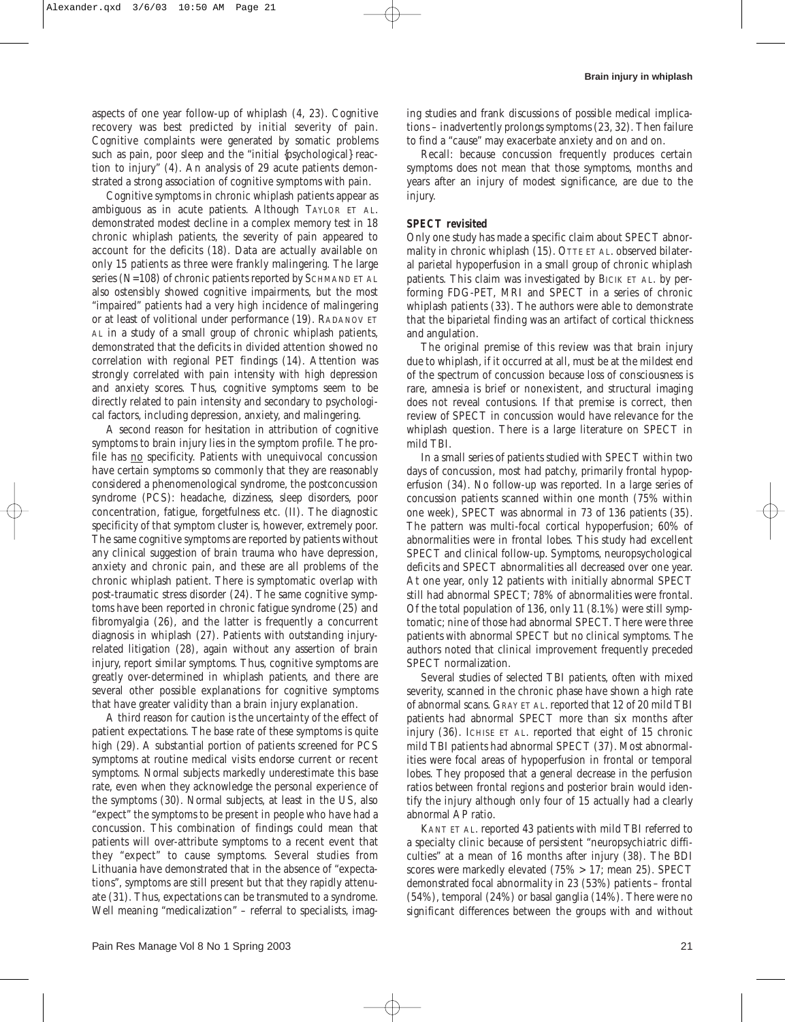aspects of one year follow-up of whiplash (4, 23). Cognitive recovery was best predicted by initial severity of pain. Cognitive complaints were generated by somatic problems such as pain, poor sleep and the "initial {psychological} reaction to injury" (4). An analysis of 29 acute patients demonstrated a strong association of cognitive symptoms with pain.

Cognitive symptoms in chronic whiplash patients appear as ambiguous as in acute patients. Although TAYLOR ET AL. demonstrated modest decline in a complex memory test in 18 chronic whiplash patients, the severity of pain appeared to account for the deficits (18). Data are actually available on only 15 patients as three were frankly malingering. The large series (N=108) of chronic patients reported by SCHMAND ET AL also ostensibly showed cognitive impairments, but the most "impaired" patients had a very high incidence of malingering or at least of volitional under performance (19). RADANOV ET AL in a study of a small group of chronic whiplash patients, demonstrated that the deficits in divided attention showed no correlation with regional PET findings (14). Attention was strongly correlated with pain intensity with high depression and anxiety scores. Thus, cognitive symptoms seem to be directly related to pain intensity and secondary to psychological factors, including depression, anxiety, and malingering.

A second reason for hesitation in attribution of cognitive symptoms to brain injury lies in the symptom profile. The profile has no specificity. Patients with unequivocal concussion have certain symptoms so commonly that they are reasonably considered a phenomenological syndrome, the postconcussion syndrome (PCS): headache, dizziness, sleep disorders, poor concentration, fatigue, forgetfulness etc. (II). The diagnostic specificity of that symptom cluster is, however, extremely poor. The same cognitive symptoms are reported by patients without any clinical suggestion of brain trauma who have depression, anxiety and chronic pain, and these are all problems of the chronic whiplash patient. There is symptomatic overlap with post-traumatic stress disorder (24). The same cognitive symptoms have been reported in chronic fatigue syndrome (25) and fibromyalgia (26), and the latter is frequently a concurrent diagnosis in whiplash (27). Patients with outstanding injuryrelated litigation (28), again without any assertion of brain injury, report similar symptoms. Thus, cognitive symptoms are greatly over-determined in whiplash patients, and there are several other possible explanations for cognitive symptoms that have greater validity than a brain injury explanation.

A third reason for caution is the uncertainty of the effect of patient expectations. The base rate of these symptoms is quite high (29). A substantial portion of patients screened for PCS symptoms at routine medical visits endorse current or recent symptoms. Normal subjects markedly underestimate this base rate, even when they acknowledge the personal experience of the symptoms (30). Normal subjects, at least in the US, also "expect" the symptoms to be present in people who have had a concussion. This combination of findings could mean that patients will over-attribute symptoms to a recent event that they "expect" to cause symptoms. Several studies from Lithuania have demonstrated that in the absence of "expectations", symptoms are still present but that they rapidly attenuate (31). Thus, expectations can be transmuted to a syndrome. Well meaning "medicalization" – referral to specialists, imaging studies and frank discussions of possible medical implications – inadvertently prolongs symptoms (23, 32). Then failure to find a "cause" may exacerbate anxiety and on and on.

Recall: because concussion frequently produces certain symptoms does not mean that those symptoms, months and years after an injury of modest significance, are due to the injury.

#### **SPECT revisited**

Only one study has made a specific claim about SPECT abnormality in chronic whiplash (15). OTTE ET AL. observed bilateral parietal hypoperfusion in a small group of chronic whiplash patients. This claim was investigated by BICIK ET AL. by performing FDG-PET, MRI and SPECT in a series of chronic whiplash patients (33). The authors were able to demonstrate that the biparietal finding was an artifact of cortical thickness and angulation.

The original premise of this review was that brain injury due to whiplash, if it occurred at all, must be at the mildest end of the spectrum of concussion because loss of consciousness is rare, amnesia is brief or nonexistent, and structural imaging does not reveal contusions. If that premise is correct, then review of SPECT in concussion would have relevance for the whiplash question. There is a large literature on SPECT in mild TBI.

In a small series of patients studied with SPECT within two days of concussion, most had patchy, primarily frontal hypoperfusion (34). No follow-up was reported. In a large series of concussion patients scanned within one month (75% within one week), SPECT was abnormal in 73 of 136 patients (35). The pattern was multi-focal cortical hypoperfusion; 60% of abnormalities were in frontal lobes. This study had excellent SPECT and clinical follow-up. Symptoms, neuropsychological deficits and SPECT abnormalities all decreased over one year. At one year, only 12 patients with initially abnormal SPECT still had abnormal SPECT; 78% of abnormalities were frontal. Of the total population of 136, only 11 (8.1%) were still symptomatic; nine of those had abnormal SPECT. There were three patients with abnormal SPECT but no clinical symptoms. The authors noted that clinical improvement frequently preceded SPECT normalization.

Several studies of selected TBI patients, often with mixed severity, scanned in the chronic phase have shown a high rate of abnormal scans. GRAY ET AL. reported that 12 of 20 mild TBI patients had abnormal SPECT more than six months after injury (36). ICHISE ET AL. reported that eight of 15 chronic mild TBI patients had abnormal SPECT (37). Most abnormalities were focal areas of hypoperfusion in frontal or temporal lobes. They proposed that a general decrease in the perfusion ratios between frontal regions and posterior brain would identify the injury although only four of 15 actually had a clearly abnormal AP ratio.

KANT ET AL. reported 43 patients with mild TBI referred to a specialty clinic because of persistent "neuropsychiatric difficulties" at a mean of 16 months after injury (38). The BDI scores were markedly elevated (75% > 17; mean 25). SPECT demonstrated focal abnormality in 23 (53%) patients – frontal (54%), temporal (24%) or basal ganglia (14%). There were no significant differences between the groups with and without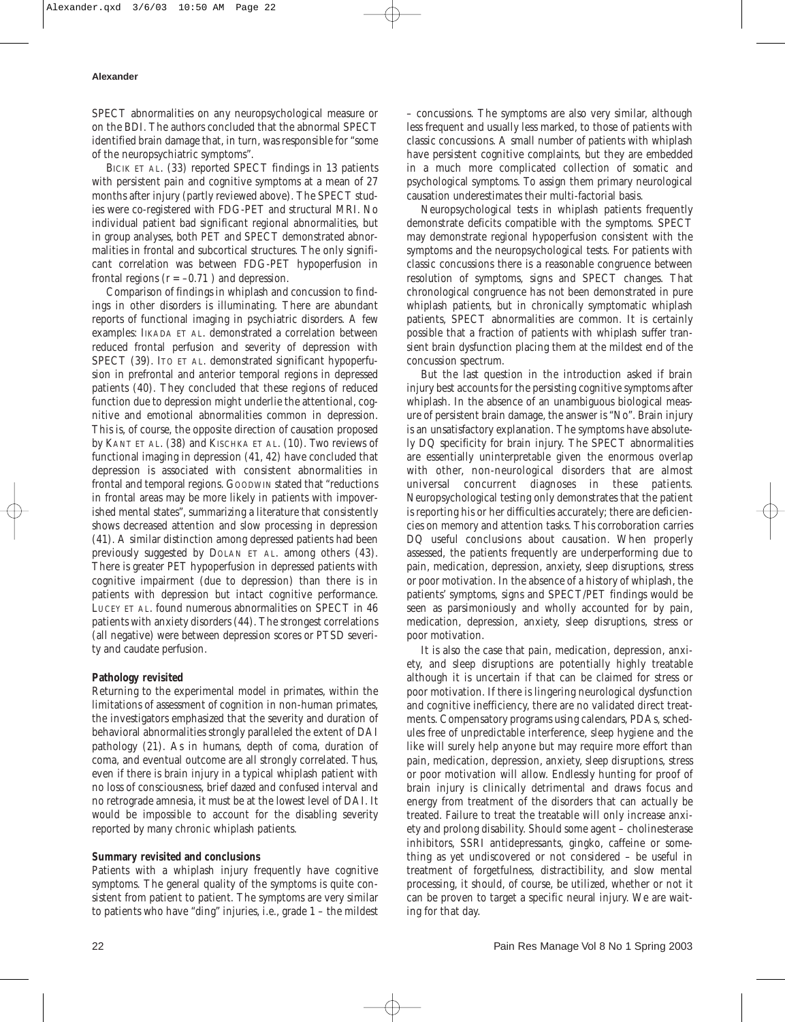SPECT abnormalities on any neuropsychological measure or on the BDI. The authors concluded that the abnormal SPECT identified brain damage that, in turn, was responsible for "some of the neuropsychiatric symptoms".

BICIK ET AL. (33) reported SPECT findings in 13 patients with persistent pain and cognitive symptoms at a mean of 27 months after injury (partly reviewed above). The SPECT studies were co-registered with FDG-PET and structural MRI. No individual patient bad significant regional abnormalities, but in group analyses, both PET and SPECT demonstrated abnormalities in frontal and subcortical structures. The only significant correlation was between FDG-PET hypoperfusion in frontal regions ( $r = -0.71$ ) and depression.

Comparison of findings in whiplash and concussion to findings in other disorders is illuminating. There are abundant reports of functional imaging in psychiatric disorders. A few examples: IIKADA ET AL. demonstrated a correlation between reduced frontal perfusion and severity of depression with SPECT (39). ITO ET AL. demonstrated significant hypoperfusion in prefrontal and anterior temporal regions in depressed patients (40). They concluded that these regions of reduced function due to depression might underlie the attentional, cognitive and emotional abnormalities common in depression. This is, of course, the opposite direction of causation proposed by KANT ET AL. (38) and KISCHKA ET AL. (10). Two reviews of functional imaging in depression (41, 42) have concluded that depression is associated with consistent abnormalities in frontal and temporal regions. Goodwin stated that "reductions" in frontal areas may be more likely in patients with impoverished mental states", summarizing a literature that consistently shows decreased attention and slow processing in depression (41). A similar distinction among depressed patients had been previously suggested by DOLAN ET AL. among others (43). There is greater PET hypoperfusion in depressed patients with cognitive impairment (due to depression) than there is in patients with depression but intact cognitive performance. LUCEY ET AL. found numerous abnormalities on SPECT in 46 patients with anxiety disorders (44). The strongest correlations (all negative) were between depression scores or PTSD severity and caudate perfusion.

## **Pathology revisited**

Returning to the experimental model in primates, within the limitations of assessment of cognition in non-human primates, the investigators emphasized that the severity and duration of behavioral abnormalities strongly paralleled the extent of DAI pathology (21). As in humans, depth of coma, duration of coma, and eventual outcome are all strongly correlated. Thus, even if there is brain injury in a typical whiplash patient with no loss of consciousness, brief dazed and confused interval and no retrograde amnesia, it must be at the lowest level of DAI. It would be impossible to account for the disabling severity reported by many chronic whiplash patients.

## **Summary revisited and conclusions**

Patients with a whiplash injury frequently have cognitive symptoms. The general quality of the symptoms is quite consistent from patient to patient. The symptoms are very similar to patients who have "ding" injuries, i.e., grade 1 – the mildest – concussions. The symptoms are also very similar, although less frequent and usually less marked, to those of patients with classic concussions. A small number of patients with whiplash have persistent cognitive complaints, but they are embedded in a much more complicated collection of somatic and psychological symptoms. To assign them primary neurological causation underestimates their multi-factorial basis.

Neuropsychological tests in whiplash patients frequently demonstrate deficits compatible with the symptoms. SPECT may demonstrate regional hypoperfusion consistent with the symptoms and the neuropsychological tests. For patients with classic concussions there is a reasonable congruence between resolution of symptoms, signs and SPECT changes. That chronological congruence has not been demonstrated in pure whiplash patients, but in chronically symptomatic whiplash patients, SPECT abnormalities are common. It is certainly possible that a fraction of patients with whiplash suffer transient brain dysfunction placing them at the mildest end of the concussion spectrum.

But the last question in the introduction asked if brain injury best accounts for the persisting cognitive symptoms after whiplash. In the absence of an unambiguous biological measure of persistent brain damage, the answer is "No". Brain injury is an unsatisfactory explanation. The symptoms have absolutely DQ specificity for brain injury. The SPECT abnormalities are essentially uninterpretable given the enormous overlap with other, non-neurological disorders that are almost universal concurrent diagnoses in these patients. Neuropsychological testing only demonstrates that the patient is reporting his or her difficulties accurately; there are deficiencies on memory and attention tasks. This corroboration carries DQ useful conclusions about causation. When properly assessed, the patients frequently are underperforming due to pain, medication, depression, anxiety, sleep disruptions, stress or poor motivation. In the absence of a history of whiplash, the patients' symptoms, signs and SPECT/PET findings would be seen as parsimoniously and wholly accounted for by pain, medication, depression, anxiety, sleep disruptions, stress or poor motivation.

It is also the case that pain, medication, depression, anxiety, and sleep disruptions are potentially highly treatable although it is uncertain if that can be claimed for stress or poor motivation. If there is lingering neurological dysfunction and cognitive inefficiency, there are no validated direct treatments. Compensatory programs using calendars, PDAs, schedules free of unpredictable interference, sleep hygiene and the like will surely help anyone but may require more effort than pain, medication, depression, anxiety, sleep disruptions, stress or poor motivation will allow. Endlessly hunting for proof of brain injury is clinically detrimental and draws focus and energy from treatment of the disorders that can actually be treated. Failure to treat the treatable will only increase anxiety and prolong disability. Should some agent – cholinesterase inhibitors, SSRI antidepressants, gingko, caffeine or something as yet undiscovered or not considered – be useful in treatment of forgetfulness, distractibility, and slow mental processing, it should, of course, be utilized, whether or not it can be proven to target a specific neural injury. We are waiting for that day.